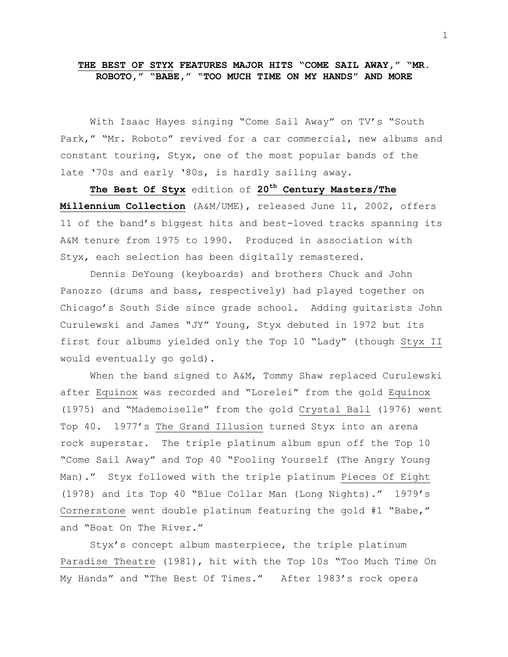## **THE BEST OF STYX FEATURES MAJOR HITS "COME SAIL AWAY," "MR. ROBOTO," "BABE," "TOO MUCH TIME ON MY HANDS" AND MORE**

With Isaac Hayes singing "Come Sail Away" on TV's "South Park," "Mr. Roboto" revived for a car commercial, new albums and constant touring, Styx, one of the most popular bands of the late '70s and early '80s, is hardly sailing away.

**The Best Of Styx** edition of **20th Century Masters/The Millennium Collection** (A&M/UME), released June 11, 2002, offers 11 of the band's biggest hits and best-loved tracks spanning its A&M tenure from 1975 to 1990. Produced in association with Styx, each selection has been digitally remastered.

Dennis DeYoung (keyboards) and brothers Chuck and John Panozzo (drums and bass, respectively) had played together on Chicago's South Side since grade school. Adding guitarists John Curulewski and James "JY" Young, Styx debuted in 1972 but its first four albums yielded only the Top 10 "Lady" (though Styx II would eventually go gold).

When the band signed to A&M, Tommy Shaw replaced Curulewski after Equinox was recorded and "Lorelei" from the gold Equinox (1975) and "Mademoiselle" from the gold Crystal Ball (1976) went Top 40. 1977's The Grand Illusion turned Styx into an arena rock superstar. The triple platinum album spun off the Top 10 "Come Sail Away" and Top 40 "Fooling Yourself (The Angry Young Man)." Styx followed with the triple platinum Pieces Of Eight (1978) and its Top 40 "Blue Collar Man (Long Nights)." 1979's Cornerstone went double platinum featuring the gold #1 "Babe," and "Boat On The River."

Styx's concept album masterpiece, the triple platinum Paradise Theatre (1981), hit with the Top 10s "Too Much Time On My Hands" and "The Best Of Times." After 1983's rock opera